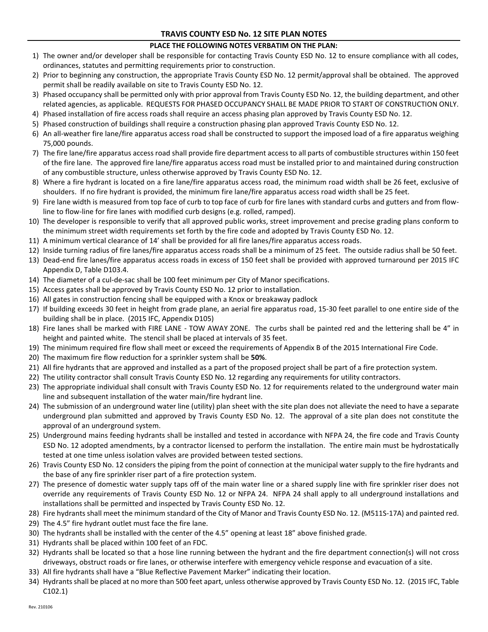## **TRAVIS COUNTY ESD No. 12 SITE PLAN NOTES**

## **PLACE THE FOLLOWING NOTES VERBATIM ON THE PLAN:**

- 1) The owner and/or developer shall be responsible for contacting Travis County ESD No. 12 to ensure compliance with all codes, ordinances, statutes and permitting requirements prior to construction.
- 2) Prior to beginning any construction, the appropriate Travis County ESD No. 12 permit/approval shall be obtained. The approved permit shall be readily available on site to Travis County ESD No. 12.
- 3) Phased occupancy shall be permitted only with prior approval from Travis County ESD No. 12, the building department, and other related agencies, as applicable. REQUESTS FOR PHASED OCCUPANCY SHALL BE MADE PRIOR TO START OF CONSTRUCTION ONLY.
- 4) Phased installation of fire access roads shall require an access phasing plan approved by Travis County ESD No. 12.
- 5) Phased construction of buildings shall require a construction phasing plan approved Travis County ESD No. 12.
- 6) An all-weather fire lane/fire apparatus access road shall be constructed to support the imposed load of a fire apparatus weighing 75,000 pounds.
- 7) The fire lane/fire apparatus access road shall provide fire department access to all parts of combustible structures within 150 feet of the fire lane. The approved fire lane/fire apparatus access road must be installed prior to and maintained during construction of any combustible structure, unless otherwise approved by Travis County ESD No. 12.
- 8) Where a fire hydrant is located on a fire lane/fire apparatus access road, the minimum road width shall be 26 feet, exclusive of shoulders. If no fire hydrant is provided, the minimum fire lane/fire apparatus access road width shall be 25 feet.
- 9) Fire lane width is measured from top face of curb to top face of curb for fire lanes with standard curbs and gutters and from flowline to flow-line for fire lanes with modified curb designs (e.g. rolled, ramped).
- 10) The developer is responsible to verify that all approved public works, street improvement and precise grading plans conform to the minimum street width requirements set forth by the fire code and adopted by Travis County ESD No. 12.
- 11) A minimum vertical clearance of 14' shall be provided for all fire lanes/fire apparatus access roads.
- 12) Inside turning radius of fire lanes/fire apparatus access roads shall be a minimum of 25 feet. The outside radius shall be 50 feet.
- 13) Dead-end fire lanes/fire apparatus access roads in excess of 150 feet shall be provided with approved turnaround per 2015 IFC Appendix D, Table D103.4.
- 14) The diameter of a cul-de-sac shall be 100 feet minimum per City of Manor specifications.
- 15) Access gates shall be approved by Travis County ESD No. 12 prior to installation.
- 16) All gates in construction fencing shall be equipped with a Knox or breakaway padlock
- 17) If building exceeds 30 feet in height from grade plane, an aerial fire apparatus road, 15-30 feet parallel to one entire side of the building shall be in place. (2015 IFC, Appendix D105)
- 18) Fire lanes shall be marked with FIRE LANE TOW AWAY ZONE. The curbs shall be painted red and the lettering shall be 4" in height and painted white. The stencil shall be placed at intervals of 35 feet.
- 19) The minimum required fire flow shall meet or exceed the requirements of Appendix B of the 2015 International Fire Code.
- 20) The maximum fire flow reduction for a sprinkler system shall be **50%**.
- 21) All fire hydrants that are approved and installed as a part of the proposed project shall be part of a fire protection system.
- 22) The utility contractor shall consult Travis County ESD No. 12 regarding any requirements for utility contractors.
- 23) The appropriate individual shall consult with Travis County ESD No. 12 for requirements related to the underground water main line and subsequent installation of the water main/fire hydrant line.
- 24) The submission of an underground water line (utility) plan sheet with the site plan does not alleviate the need to have a separate underground plan submitted and approved by Travis County ESD No. 12. The approval of a site plan does not constitute the approval of an underground system.
- 25) Underground mains feeding hydrants shall be installed and tested in accordance with NFPA 24, the fire code and Travis County ESD No. 12 adopted amendments, by a contractor licensed to perform the installation. The entire main must be hydrostatically tested at one time unless isolation valves are provided between tested sections.
- 26) Travis County ESD No. 12 considers the piping from the point of connection at the municipal water supply to the fire hydrants and the base of any fire sprinkler riser part of a fire protection system.
- 27) The presence of domestic water supply taps off of the main water line or a shared supply line with fire sprinkler riser does not override any requirements of Travis County ESD No. 12 or NFPA 24. NFPA 24 shall apply to all underground installations and installations shall be permitted and inspected by Travis County ESD No. 12.
- 28) Fire hydrants shall meet the minimum standard of the City of Manor and Travis County ESD No. 12. (M511S-17A) and painted red.
- 29) The 4.5" fire hydrant outlet must face the fire lane.
- 30) The hydrants shall be installed with the center of the 4.5" opening at least 18" above finished grade.
- 31) Hydrants shall be placed within 100 feet of an FDC.
- 32) Hydrants shall be located so that a hose line running between the hydrant and the fire department connection(s) will not cross driveways, obstruct roads or fire lanes, or otherwise interfere with emergency vehicle response and evacuation of a site.
- 33) All fire hydrants shall have a "Blue Reflective Pavement Marker" indicating their location.
- 34) Hydrants shall be placed at no more than 500 feet apart, unless otherwise approved by Travis County ESD No. 12. (2015 IFC, Table C102.1)